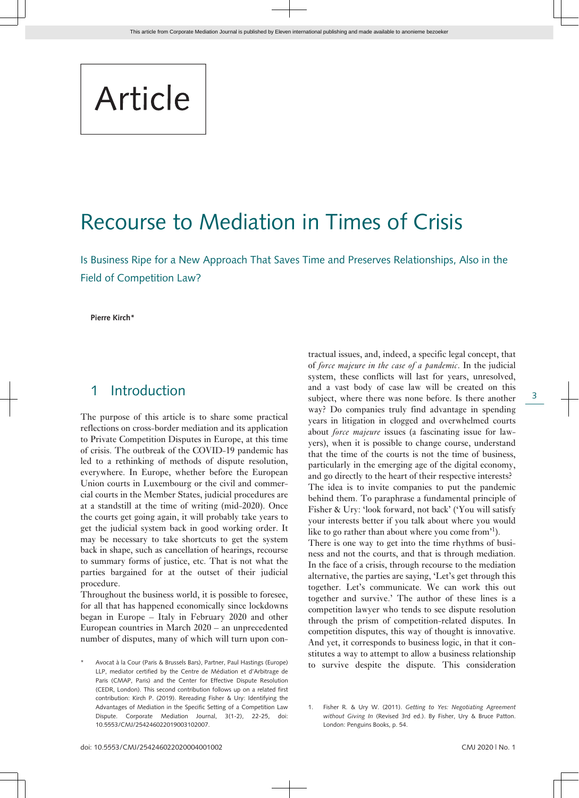# Article

## Recourse to Mediation in Times of Crisis

Is Business Ripe for a New Approach That Saves Time and Preserves Relationships, Also in the Field of Competition Law?

**Pierre Kirch\***

#### 1 Introduction

The purpose of this article is to share some practical reflections on cross-border mediation and its application to Private Competition Disputes in Europe, at this time of crisis. The outbreak of the COVID-19 pandemic has led to a rethinking of methods of dispute resolution, everywhere. In Europe, whether before the European Union courts in Luxembourg or the civil and commercial courts in the Member States, judicial procedures are at a standstill at the time of writing (mid-2020). Once the courts get going again, it will probably take years to get the judicial system back in good working order. It may be necessary to take shortcuts to get the system back in shape, such as cancellation of hearings, recourse to summary forms of justice, etc. That is not what the parties bargained for at the outset of their judicial procedure.

Throughout the business world, it is possible to foresee, for all that has happened economically since lockdowns began in Europe – Italy in February 2020 and other European countries in March 2020 – an unprecedented number of disputes, many of which will turn upon con-

tractual issues, and, indeed, a specific legal concept, that of *force majeure in the case of a pandemic*. In the judicial system, these conflicts will last for years, unresolved, and a vast body of case law will be created on this subject, where there was none before. Is there another way? Do companies truly find advantage in spending years in litigation in clogged and overwhelmed courts about *force majeure* issues (a fascinating issue for lawyers), when it is possible to change course, understand that the time of the courts is not the time of business, particularly in the emerging age of the digital economy, and go directly to the heart of their respective interests? The idea is to invite companies to put the pandemic behind them. To paraphrase a fundamental principle of Fisher & Ury: 'look forward, not back' ('You will satisfy your interests better if you talk about where you would like to go rather than about where you come from<sup>'1</sup>). There is one way to get into the time rhythms of business and not the courts, and that is through mediation.

In the face of a crisis, through recourse to the mediation alternative, the parties are saying, 'Let's get through this together. Let's communicate. We can work this out together and survive.' The author of these lines is a competition lawyer who tends to see dispute resolution through the prism of competition-related disputes. In competition disputes, this way of thought is innovative. And yet, it corresponds to business logic, in that it constitutes a way to attempt to allow a business relationship to survive despite the dispute. This consideration

Avocat à la Cour (Paris & Brussels Bars), Partner, Paul Hastings (Europe) LLP, mediator certified by the Centre de Médiation et d'Arbitrage de Paris (CMAP, Paris) and the Center for Effective Dispute Resolution (CEDR, London). This second contribution follows up on a related first contribution: Kirch P. (2019). Rereading Fisher & Ury: Identifying the Advantages of Mediation in the Specific Setting of a Competition Law Dispute. Corporate Mediation Journal, 3(1-2), 22-25, doi: 10.5553/CMJ/254246022019003102007.

<sup>1.</sup> Fisher R. & Ury W. (2011). *Getting to Yes: Negotiating Agreement without Giving In* (Revised 3rd ed.). By Fisher, Ury & Bruce Patton. London: Penguins Books, p. 54.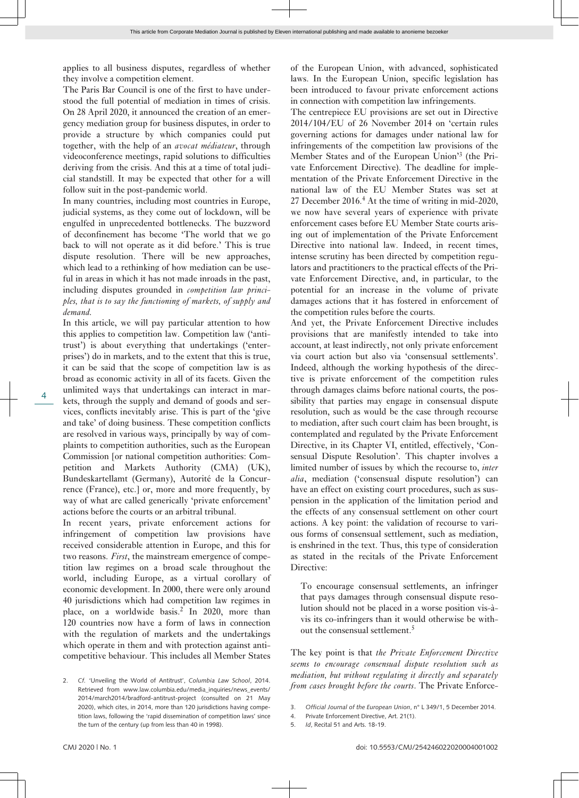applies to all business disputes, regardless of whether they involve a competition element.

The Paris Bar Council is one of the first to have understood the full potential of mediation in times of crisis. On 28 April 2020, it announced the creation of an emergency mediation group for business disputes, in order to provide a structure by which companies could put together, with the help of an *avocat médiateur*, through videoconference meetings, rapid solutions to difficulties deriving from the crisis. And this at a time of total judicial standstill. It may be expected that other for a will follow suit in the post-pandemic world.

In many countries, including most countries in Europe, judicial systems, as they come out of lockdown, will be engulfed in unprecedented bottlenecks. The buzzword of deconfinement has become 'The world that we go back to will not operate as it did before.' This is true dispute resolution. There will be new approaches, which lead to a rethinking of how mediation can be useful in areas in which it has not made inroads in the past, including disputes grounded in *competition law principles, that is to say the functioning of markets, of supply and demand.*

 $\Delta$ 

In this article, we will pay particular attention to how this applies to competition law. Competition law ('antitrust') is about everything that undertakings ('enterprises') do in markets, and to the extent that this is true, it can be said that the scope of competition law is as broad as economic activity in all of its facets. Given the unlimited ways that undertakings can interact in markets, through the supply and demand of goods and services, conflicts inevitably arise. This is part of the 'give and take' of doing business. These competition conflicts are resolved in various ways, principally by way of complaints to competition authorities, such as the European Commission [or national competition authorities: Competition and Markets Authority (CMA) (UK), Bundeskartellamt (Germany), Autorité de la Concurrence (France), etc.] or, more and more frequently, by way of what are called generically 'private enforcement' actions before the courts or an arbitral tribunal.

In recent years, private enforcement actions for infringement of competition law provisions have received considerable attention in Europe, and this for two reasons. *First*, the mainstream emergence of competition law regimes on a broad scale throughout the world, including Europe, as a virtual corollary of economic development. In 2000, there were only around 40 jurisdictions which had competition law regimes in place, on a worldwide basis.<sup>2</sup> In 2020, more than 120 countries now have a form of laws in connection with the regulation of markets and the undertakings which operate in them and with protection against anticompetitive behaviour. This includes all Member States

of the European Union, with advanced, sophisticated laws. In the European Union, specific legislation has been introduced to favour private enforcement actions in connection with competition law infringements.

The centrepiece EU provisions are set out in Directive 2014/104/EU of 26 November 2014 on 'certain rules governing actions for damages under national law for infringements of the competition law provisions of the Member States and of the European Union'<sup>3</sup> (the Private Enforcement Directive). The deadline for implementation of the Private Enforcement Directive in the national law of the EU Member States was set at 27 December 2016.<sup>4</sup> At the time of writing in mid-2020, we now have several years of experience with private enforcement cases before EU Member State courts arising out of implementation of the Private Enforcement Directive into national law. Indeed, in recent times, intense scrutiny has been directed by competition regulators and practitioners to the practical effects of the Private Enforcement Directive, and, in particular, to the potential for an increase in the volume of private damages actions that it has fostered in enforcement of the competition rules before the courts.

And yet, the Private Enforcement Directive includes provisions that are manifestly intended to take into account, at least indirectly, not only private enforcement via court action but also via 'consensual settlements'. Indeed, although the working hypothesis of the directive is private enforcement of the competition rules through damages claims before national courts, the possibility that parties may engage in consensual dispute resolution, such as would be the case through recourse to mediation, after such court claim has been brought, is contemplated and regulated by the Private Enforcement Directive, in its Chapter VI, entitled, effectively, 'Consensual Dispute Resolution'. This chapter involves a limited number of issues by which the recourse to, *inter alia*, mediation ('consensual dispute resolution') can have an effect on existing court procedures, such as suspension in the application of the limitation period and the effects of any consensual settlement on other court actions. A key point: the validation of recourse to various forms of consensual settlement, such as mediation, is enshrined in the text. Thus, this type of consideration as stated in the recitals of the Private Enforcement Directive:

To encourage consensual settlements, an infringer that pays damages through consensual dispute resolution should not be placed in a worse position vis-àvis its co-infringers than it would otherwise be without the consensual settlement.<sup>5</sup>

The key point is that *the Private Enforcement Directive seems to encourage consensual dispute resolution such as mediation, but without regulating it directly and separately from cases brought before the courts*. The Private Enforce-

- 4. Private Enforcement Directive, Art. 21(1).
- 5. *Id*, Recital 51 and Arts. 18-19.

<sup>2.</sup> *Cf.* 'Unveiling the World of Antitrust', *Columbia Law School*, 2014. Retrieved from [www.law.columbia.edu/media\\_inquiries/news\\_events/](http://www.law.columbia.edu/media_inquiries/news_events/2014/march2014/bradford-antitrust-project) [2014/march2014/bradford-antitrust-project](http://www.law.columbia.edu/media_inquiries/news_events/2014/march2014/bradford-antitrust-project) (consulted on 21 May 2020), which cites, in 2014, more than 120 jurisdictions having competition laws, following the 'rapid dissemination of competition laws' since the turn of the century (up from less than 40 in 1998).

<sup>3.</sup> *Official Journal of the European Union*, n° L 349/1, 5 December 2014.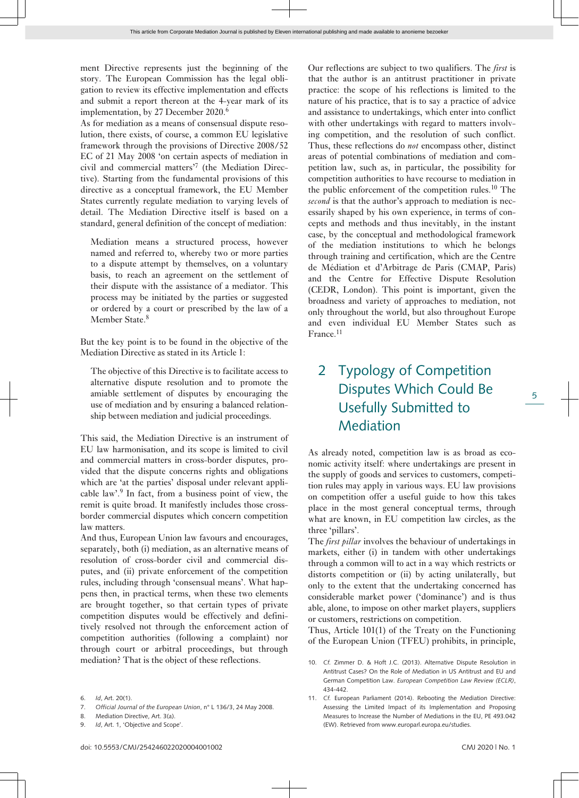ment Directive represents just the beginning of the story. The European Commission has the legal obligation to review its effective implementation and effects and submit a report thereon at the 4-year mark of its implementation, by 27 December 2020.<sup>6</sup>

As for mediation as a means of consensual dispute resolution, there exists, of course, a common EU legislative framework through the provisions of Directive 2008/52 EC of 21 May 2008 'on certain aspects of mediation in civil and commercial matters'<sup>7</sup> (the Mediation Directive). Starting from the fundamental provisions of this directive as a conceptual framework, the EU Member States currently regulate mediation to varying levels of detail. The Mediation Directive itself is based on a standard, general definition of the concept of mediation:

Mediation means a structured process, however named and referred to, whereby two or more parties to a dispute attempt by themselves, on a voluntary basis, to reach an agreement on the settlement of their dispute with the assistance of a mediator. This process may be initiated by the parties or suggested or ordered by a court or prescribed by the law of a Member State.<sup>8</sup>

But the key point is to be found in the objective of the Mediation Directive as stated in its Article 1:

The objective of this Directive is to facilitate access to alternative dispute resolution and to promote the amiable settlement of disputes by encouraging the use of mediation and by ensuring a balanced relationship between mediation and judicial proceedings.

This said, the Mediation Directive is an instrument of EU law harmonisation, and its scope is limited to civil and commercial matters in cross-border disputes, provided that the dispute concerns rights and obligations which are 'at the parties' disposal under relevant applicable law'.<sup>9</sup> In fact, from a business point of view, the remit is quite broad. It manifestly includes those crossborder commercial disputes which concern competition law matters.

And thus, European Union law favours and encourages, separately, both (i) mediation, as an alternative means of resolution of cross-border civil and commercial disputes, and (ii) private enforcement of the competition rules, including through 'consensual means'. What happens then, in practical terms, when these two elements are brought together, so that certain types of private competition disputes would be effectively and definitively resolved not through the enforcement action of competition authorities (following a complaint) nor through court or arbitral proceedings, but through mediation? That is the object of these reflections.

7. *Official Journal of the European Union*, n° L 136/3, 24 May 2008.

9. *Id*, Art. 1, 'Objective and Scope'.

Our reflections are subject to two qualifiers. The *first* is that the author is an antitrust practitioner in private practice: the scope of his reflections is limited to the nature of his practice, that is to say a practice of advice and assistance to undertakings, which enter into conflict with other undertakings with regard to matters involving competition, and the resolution of such conflict. Thus, these reflections do *not* encompass other, distinct areas of potential combinations of mediation and competition law, such as, in particular, the possibility for competition authorities to have recourse to mediation in the public enforcement of the competition rules.<sup>10</sup> The *second* is that the author's approach to mediation is necessarily shaped by his own experience, in terms of concepts and methods and thus inevitably, in the instant case, by the conceptual and methodological framework of the mediation institutions to which he belongs through training and certification, which are the Centre de Médiation et d'Arbitrage de Paris (CMAP, Paris) and the Centre for Effective Dispute Resolution (CEDR, London). This point is important, given the broadness and variety of approaches to mediation, not only throughout the world, but also throughout Europe and even individual EU Member States such as France.<sup>11</sup>

### 2 Typology of Competition Disputes Which Could Be Usefully Submitted to Mediation

As already noted, competition law is as broad as economic activity itself: where undertakings are present in the supply of goods and services to customers, competition rules may apply in various ways. EU law provisions on competition offer a useful guide to how this takes place in the most general conceptual terms, through what are known, in EU competition law circles, as the three 'pillars'.

The *first pillar* involves the behaviour of undertakings in markets, either (i) in tandem with other undertakings through a common will to act in a way which restricts or distorts competition or (ii) by acting unilaterally, but only to the extent that the undertaking concerned has considerable market power ('dominance') and is thus able, alone, to impose on other market players, suppliers or customers, restrictions on competition.

Thus, Article 101(1) of the Treaty on the Functioning of the European Union (TFEU) prohibits, in principle,

<sup>6.</sup> *Id*, Art. 20(1).

<sup>8.</sup> Mediation Directive, Art. 3(a).

<sup>10.</sup> *Cf.* Zimmer D. & Hoft J.C. (2013). Alternative Dispute Resolution in Antitrust Cases? On the Role of Mediation in US Antitrust and EU and German Competition Law. *European Competition Law Review (ECLR)*, 434-442.

<sup>11.</sup> *Cf.* European Parliament (2014). Rebooting the Mediation Directive: Assessing the Limited Impact of its Implementation and Proposing Measures to Increase the Number of Mediations in the EU, PE 493.042 (EW). Retrieved from [www.europarl.europa.eu/studies.](http://www.europarl.europa.eu/studies)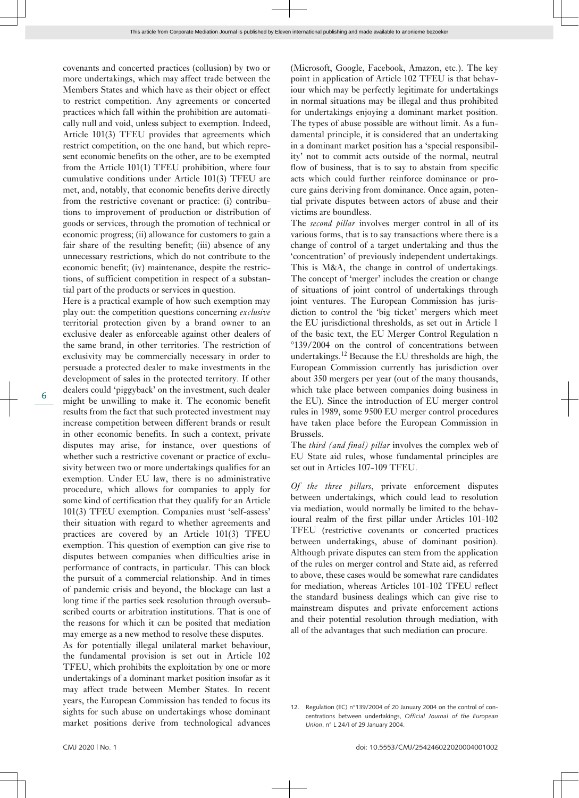covenants and concerted practices (collusion) by two or more undertakings, which may affect trade between the Members States and which have as their object or effect to restrict competition. Any agreements or concerted practices which fall within the prohibition are automatically null and void, unless subject to exemption. Indeed, Article 101(3) TFEU provides that agreements which restrict competition, on the one hand, but which represent economic benefits on the other, are to be exempted from the Article 101(1) TFEU prohibition, where four cumulative conditions under Article 101(3) TFEU are met, and, notably, that economic benefits derive directly from the restrictive covenant or practice: (i) contributions to improvement of production or distribution of goods or services, through the promotion of technical or economic progress; (ii) allowance for customers to gain a fair share of the resulting benefit; (iii) absence of any unnecessary restrictions, which do not contribute to the economic benefit; (iv) maintenance, despite the restrictions, of sufficient competition in respect of a substantial part of the products or services in question.

Here is a practical example of how such exemption may play out: the competition questions concerning *exclusive* territorial protection given by a brand owner to an exclusive dealer as enforceable against other dealers of the same brand, in other territories. The restriction of exclusivity may be commercially necessary in order to persuade a protected dealer to make investments in the development of sales in the protected territory. If other dealers could 'piggyback' on the investment, such dealer might be unwilling to make it. The economic benefit results from the fact that such protected investment may increase competition between different brands or result in other economic benefits. In such a context, private disputes may arise, for instance, over questions of whether such a restrictive covenant or practice of exclusivity between two or more undertakings qualifies for an exemption. Under EU law, there is no administrative procedure, which allows for companies to apply for some kind of certification that they qualify for an Article 101(3) TFEU exemption. Companies must 'self-assess' their situation with regard to whether agreements and practices are covered by an Article 101(3) TFEU exemption. This question of exemption can give rise to disputes between companies when difficulties arise in performance of contracts, in particular. This can block the pursuit of a commercial relationship. And in times of pandemic crisis and beyond, the blockage can last a long time if the parties seek resolution through oversubscribed courts or arbitration institutions. That is one of the reasons for which it can be posited that mediation may emerge as a new method to resolve these disputes.

As for potentially illegal unilateral market behaviour, the fundamental provision is set out in Article 102 TFEU, which prohibits the exploitation by one or more undertakings of a dominant market position insofar as it may affect trade between Member States. In recent years, the European Commission has tended to focus its sights for such abuse on undertakings whose dominant market positions derive from technological advances

(Microsoft, Google, Facebook, Amazon, etc.). The key point in application of Article 102 TFEU is that behaviour which may be perfectly legitimate for undertakings in normal situations may be illegal and thus prohibited for undertakings enjoying a dominant market position. The types of abuse possible are without limit. As a fundamental principle, it is considered that an undertaking in a dominant market position has a 'special responsibility' not to commit acts outside of the normal, neutral flow of business, that is to say to abstain from specific acts which could further reinforce dominance or procure gains deriving from dominance. Once again, potential private disputes between actors of abuse and their victims are boundless.

The *second pillar* involves merger control in all of its various forms, that is to say transactions where there is a change of control of a target undertaking and thus the 'concentration' of previously independent undertakings. This is M&A, the change in control of undertakings. The concept of 'merger' includes the creation or change of situations of joint control of undertakings through joint ventures. The European Commission has jurisdiction to control the 'big ticket' mergers which meet the EU jurisdictional thresholds, as set out in Article 1 of the basic text, the EU Merger Control Regulation n °139/2004 on the control of concentrations between undertakings.<sup>12</sup> Because the EU thresholds are high, the European Commission currently has jurisdiction over about 350 mergers per year (out of the many thousands, which take place between companies doing business in the EU). Since the introduction of EU merger control rules in 1989, some 9500 EU merger control procedures have taken place before the European Commission in Brussels.

The *third (and final) pillar* involves the complex web of EU State aid rules, whose fundamental principles are set out in Articles 107-109 TFEU.

*Of the three pillars*, private enforcement disputes between undertakings, which could lead to resolution via mediation, would normally be limited to the behavioural realm of the first pillar under Articles 101-102 TFEU (restrictive covenants or concerted practices between undertakings, abuse of dominant position). Although private disputes can stem from the application of the rules on merger control and State aid, as referred to above, these cases would be somewhat rare candidates for mediation, whereas Articles 101-102 TFEU reflect the standard business dealings which can give rise to mainstream disputes and private enforcement actions and their potential resolution through mediation, with all of the advantages that such mediation can procure.

<sup>12.</sup> Regulation (EC) n°139/2004 of 20 January 2004 on the control of concentrations between undertakings, *Official Journal of the European Union*, n° L 24/I of 29 January 2004.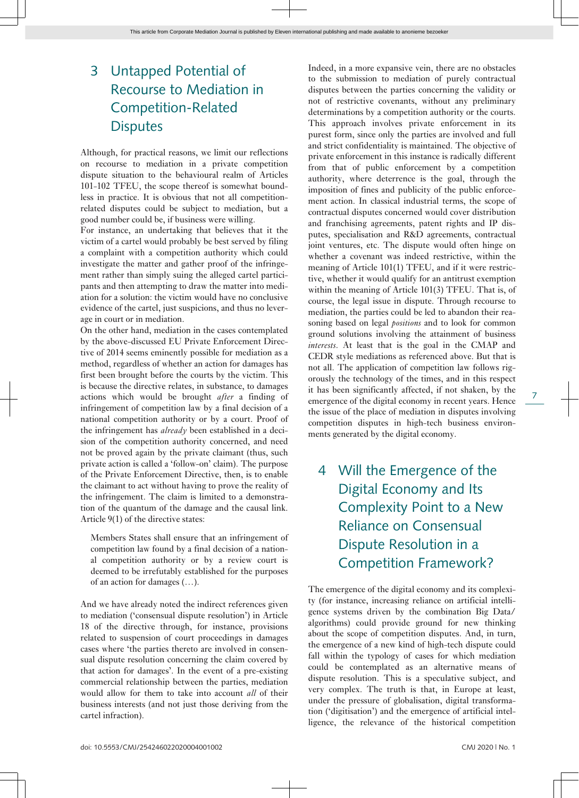### 3 Untapped Potential of Recourse to Mediation in Competition-Related **Disputes**

Although, for practical reasons, we limit our reflections on recourse to mediation in a private competition dispute situation to the behavioural realm of Articles 101-102 TFEU, the scope thereof is somewhat boundless in practice. It is obvious that not all competitionrelated disputes could be subject to mediation, but a good number could be, if business were willing.

For instance, an undertaking that believes that it the victim of a cartel would probably be best served by filing a complaint with a competition authority which could investigate the matter and gather proof of the infringement rather than simply suing the alleged cartel participants and then attempting to draw the matter into mediation for a solution: the victim would have no conclusive evidence of the cartel, just suspicions, and thus no leverage in court or in mediation.

On the other hand, mediation in the cases contemplated by the above-discussed EU Private Enforcement Directive of 2014 seems eminently possible for mediation as a method, regardless of whether an action for damages has first been brought before the courts by the victim. This is because the directive relates, in substance, to damages actions which would be brought *after* a finding of infringement of competition law by a final decision of a national competition authority or by a court. Proof of the infringement has *already* been established in a decision of the competition authority concerned, and need not be proved again by the private claimant (thus, such private action is called a 'follow-on' claim). The purpose of the Private Enforcement Directive, then, is to enable the claimant to act without having to prove the reality of the infringement. The claim is limited to a demonstration of the quantum of the damage and the causal link. Article 9(1) of the directive states:

Members States shall ensure that an infringement of competition law found by a final decision of a national competition authority or by a review court is deemed to be irrefutably established for the purposes of an action for damages (…).

And we have already noted the indirect references given to mediation ('consensual dispute resolution') in Article 18 of the directive through, for instance, provisions related to suspension of court proceedings in damages cases where 'the parties thereto are involved in consensual dispute resolution concerning the claim covered by that action for damages'. In the event of a pre-existing commercial relationship between the parties, mediation would allow for them to take into account *all* of their business interests (and not just those deriving from the cartel infraction).

Indeed, in a more expansive vein, there are no obstacles to the submission to mediation of purely contractual disputes between the parties concerning the validity or not of restrictive covenants, without any preliminary determinations by a competition authority or the courts. This approach involves private enforcement in its purest form, since only the parties are involved and full and strict confidentiality is maintained. The objective of private enforcement in this instance is radically different from that of public enforcement by a competition authority, where deterrence is the goal, through the imposition of fines and publicity of the public enforcement action. In classical industrial terms, the scope of contractual disputes concerned would cover distribution and franchising agreements, patent rights and IP disputes, specialisation and R&D agreements, contractual joint ventures, etc. The dispute would often hinge on whether a covenant was indeed restrictive, within the meaning of Article 101(1) TFEU, and if it were restrictive, whether it would qualify for an antitrust exemption within the meaning of Article 101(3) TFEU. That is, of course, the legal issue in dispute. Through recourse to mediation, the parties could be led to abandon their reasoning based on legal *positions* and to look for common ground solutions involving the attainment of business *interests*. At least that is the goal in the CMAP and CEDR style mediations as referenced above. But that is not all. The application of competition law follows rigorously the technology of the times, and in this respect it has been significantly affected, if not shaken, by the emergence of the digital economy in recent years. Hence the issue of the place of mediation in disputes involving competition disputes in high-tech business environments generated by the digital economy.

4 Will the Emergence of the Digital Economy and Its Complexity Point to a New Reliance on Consensual Dispute Resolution in a Competition Framework?

The emergence of the digital economy and its complexity (for instance, increasing reliance on artificial intelligence systems driven by the combination Big Data/ algorithms) could provide ground for new thinking about the scope of competition disputes. And, in turn, the emergence of a new kind of high-tech dispute could fall within the typology of cases for which mediation could be contemplated as an alternative means of dispute resolution. This is a speculative subject, and very complex. The truth is that, in Europe at least, under the pressure of globalisation, digital transformation ('digitisation') and the emergence of artificial intelligence, the relevance of the historical competition

7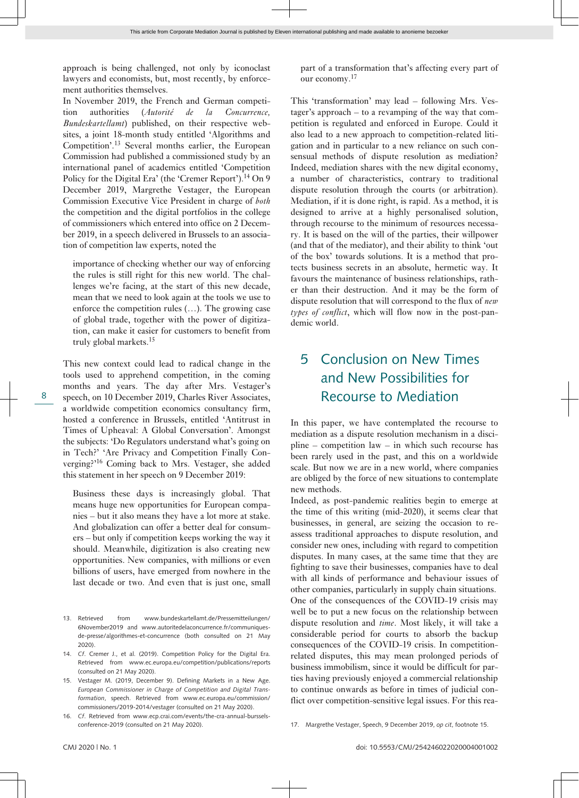This article from Corporate Mediation Journal is published by Eleven international publishing and made available to anonieme bezoeker

approach is being challenged, not only by iconoclast lawyers and economists, but, most recently, by enforcement authorities themselves.

In November 2019, the French and German competition authorities (*Autorité de la Concurrence, Bundeskartellamt*) published, on their respective websites, a joint 18-month study entitled 'Algorithms and Competition'.<sup>13</sup> Several months earlier, the European Commission had published a commissioned study by an international panel of academics entitled 'Competition Policy for the Digital Era' (the 'Cremer Report').<sup>14</sup> On 9 December 2019, Margrethe Vestager, the European Commission Executive Vice President in charge of *both* the competition and the digital portfolios in the college of commissioners which entered into office on 2 December 2019, in a speech delivered in Brussels to an association of competition law experts, noted the

importance of checking whether our way of enforcing the rules is still right for this new world. The challenges we're facing, at the start of this new decade, mean that we need to look again at the tools we use to enforce the competition rules (…). The growing case of global trade, together with the power of digitization, can make it easier for customers to benefit from truly global markets.<sup>15</sup>

This new context could lead to radical change in the tools used to apprehend competition, in the coming months and years. The day after Mrs. Vestager's speech, on 10 December 2019, Charles River Associates, a worldwide competition economics consultancy firm, hosted a conference in Brussels, entitled 'Antitrust in Times of Upheaval: A Global Conversation'. Amongst the subjects: 'Do Regulators understand what's going on in Tech?' 'Are Privacy and Competition Finally Converging?'16 Coming back to Mrs. Vestager, she added this statement in her speech on 9 December 2019:

Business these days is increasingly global. That means huge new opportunities for European companies – but it also means they have a lot more at stake. And globalization can offer a better deal for consumers – but only if competition keeps working the way it should. Meanwhile, digitization is also creating new opportunities. New companies, with millions or even billions of users, have emerged from nowhere in the last decade or two. And even that is just one, small part of a transformation that's affecting every part of our economy.<sup>17</sup>

This 'transformation' may lead – following Mrs. Vestager's approach – to a revamping of the way that competition is regulated and enforced in Europe. Could it also lead to a new approach to competition-related litigation and in particular to a new reliance on such consensual methods of dispute resolution as mediation? Indeed, mediation shares with the new digital economy, a number of characteristics, contrary to traditional dispute resolution through the courts (or arbitration). Mediation, if it is done right, is rapid. As a method, it is designed to arrive at a highly personalised solution, through recourse to the minimum of resources necessary. It is based on the will of the parties, their willpower (and that of the mediator), and their ability to think 'out of the box' towards solutions. It is a method that protects business secrets in an absolute, hermetic way. It favours the maintenance of business relationships, rather than their destruction. And it may be the form of dispute resolution that will correspond to the flux of *new types of conflict*, which will flow now in the post-pandemic world.

#### 5 Conclusion on New Times and New Possibilities for Recourse to Mediation

In this paper, we have contemplated the recourse to mediation as a dispute resolution mechanism in a discipline – competition law – in which such recourse has been rarely used in the past, and this on a worldwide scale. But now we are in a new world, where companies are obliged by the force of new situations to contemplate new methods.

Indeed, as post-pandemic realities begin to emerge at the time of this writing (mid-2020), it seems clear that businesses, in general, are seizing the occasion to reassess traditional approaches to dispute resolution, and consider new ones, including with regard to competition disputes. In many cases, at the same time that they are fighting to save their businesses, companies have to deal with all kinds of performance and behaviour issues of other companies, particularly in supply chain situations. One of the consequences of the COVID-19 crisis may well be to put a new focus on the relationship between dispute resolution and *time*. Most likely, it will take a considerable period for courts to absorb the backup consequences of the COVID-19 crisis. In competitionrelated disputes, this may mean prolonged periods of business immobilism, since it would be difficult for parties having previously enjoyed a commercial relationship to continue onwards as before in times of judicial conflict over competition-sensitive legal issues. For this rea-

<sup>13.</sup> Retrieved from [www.bundeskartellamt.de/Pressemitteilungen/](http://www.bundeskartellamt.de/Pressemitteilungen/6November2019) [6November2019](http://www.bundeskartellamt.de/Pressemitteilungen/6November2019) and [www.autoritedelaconcurrence.fr/communiques](http://www.autoritedelaconcurrence.fr/communiques-de-presse/algorithmes-et-concurrence)[de-presse/algorithmes-et-concurrence](http://www.autoritedelaconcurrence.fr/communiques-de-presse/algorithmes-et-concurrence) (both consulted on 21 May 2020).

<sup>14.</sup> *Cf*. Cremer J., et al. (2019). Competition Policy for the Digital Era. Retrieved from [www.ec.europa.eu/competition/publications/reports](http://http://www.ec.europa.eu/competition/publications/reports) (consulted on 21 May 2020).

<sup>15.</sup> Vestager M. (2019, December 9). Defining Markets in a New Age. *European Commissioner in Charge of Competition and Digital Transformation*, speech. Retrieved from [www.ec.europa.eu/commission/](http://www.ec.europa.eu/commission/commissioners/2019-2014/vestager) [commissioners/2019-2014/vestager](http://www.ec.europa.eu/commission/commissioners/2019-2014/vestager) (consulted on 21 May 2020).

<sup>16.</sup> *Cf*. Retrieved from [www.ecp.crai.com/events/the-cra-annual-burssels](http://www.ecp.crai.com/events/the-cra-annual-burssels-conference-2019)[conference-2019](http://www.ecp.crai.com/events/the-cra-annual-burssels-conference-2019) (consulted on 21 May 2020).

<sup>17.</sup> Margrethe Vestager, Speech, 9 December 2019, *op cit*, footnote 15.